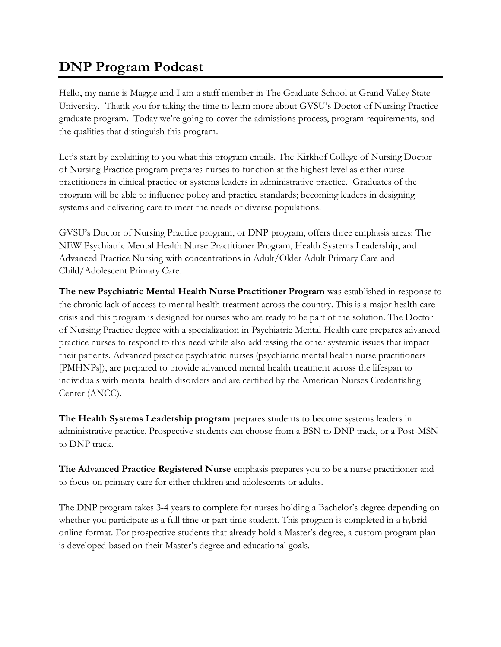## **DNP Program Podcast**

Hello, my name is Maggie and I am a staff member in The Graduate School at Grand Valley State University. Thank you for taking the time to learn more about GVSU's Doctor of Nursing Practice graduate program. Today we're going to cover the admissions process, program requirements, and the qualities that distinguish this program.

Let's start by explaining to you what this program entails. The Kirkhof College of Nursing Doctor of Nursing Practice program prepares nurses to function at the highest level as either nurse practitioners in clinical practice or systems leaders in administrative practice. Graduates of the program will be able to influence policy and practice standards; becoming leaders in designing systems and delivering care to meet the needs of diverse populations.

GVSU's Doctor of Nursing Practice program, or DNP program, offers three emphasis areas: The NEW Psychiatric Mental Health Nurse Practitioner Program, Health Systems Leadership, and Advanced Practice Nursing with concentrations in Adult/Older Adult Primary Care and Child/Adolescent Primary Care.

**The new Psychiatric Mental Health Nurse Practitioner Program** was established in response to the chronic lack of access to mental health treatment across the country. This is a major health care crisis and this program is designed for nurses who are ready to be part of the solution. The Doctor of Nursing Practice degree with a specialization in Psychiatric Mental Health care prepares advanced practice nurses to respond to this need while also addressing the other systemic issues that impact their patients. Advanced practice psychiatric nurses (psychiatric mental health nurse practitioners [PMHNPs]), are prepared to provide advanced mental health treatment across the lifespan to individuals with mental health disorders and are certified by the American Nurses Credentialing Center (ANCC).

**The Health Systems Leadership program** prepares students to become systems leaders in administrative practice. Prospective students can choose from a BSN to DNP track, or a Post-MSN to DNP track.

**The Advanced Practice Registered Nurse** emphasis prepares you to be a nurse practitioner and to focus on primary care for either children and adolescents or adults.

The DNP program takes 3-4 years to complete for nurses holding a Bachelor's degree depending on whether you participate as a full time or part time student. This program is completed in a hybridonline format. For prospective students that already hold a Master's degree, a custom program plan is developed based on their Master's degree and educational goals.